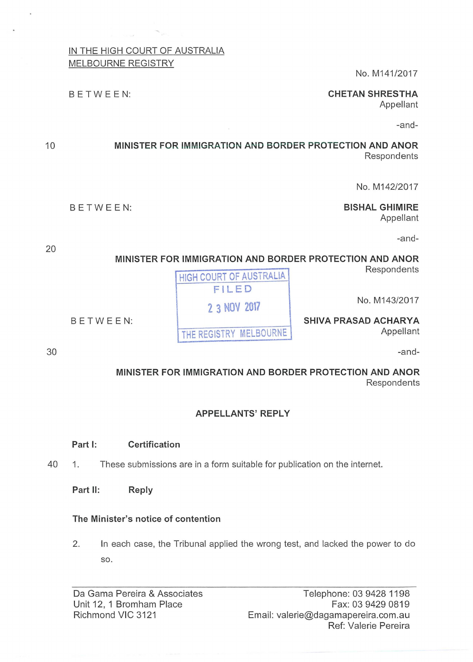# IN THE HIGH COURT OF AUSTRALIA

MELBOURNE REGISTRY

BETWEEN:

No. M141/2017

# **CHETAN SHRESTHA**

Appellant

-and-

# **MINISTER FOR IMMIGRATION AND BORDER PROTECTION AND ANOR Respondents**

No. M142/2017

## BETWEEN: **BISHAL GHIMIRE**

Appellant

-and-

**MINISTER FOR IMMIGRATION AND BORDER PROTECTION AND ANOR** 

**Respondents** 

No. M143/2017

Appellant

-and-

# **MINISTER FOR IMMIGRATION AND BORDER PROTECTION AND ANOR**  Respondents

# **APPELLANTS' REPLY**

### **Part 1: Certification**

- 40 1. These submissions are in a form suitable for publication on the internet.
	- **Part 11: Reply**

# **The Minister's notice of contention**

2. In each case, the Tribunal applied the wrong test, and lacked the power to do so.

Da Gama Pereira & Associates Unit 12, 1 Bromham Place Richmond VIC 3121

Telephone: 03 9428 1198 Fax: 03 9429 0819 Email: valerie@dagamapereira.com.au Ref: Valerie Pereira

HIGH COURT OF AUSTRALIA **FILED 2 3 NOV 2017**  BETWEEN: **SHIVA PRASAD ACHARYA**  THE REGISTRY MELBOURNE

30

20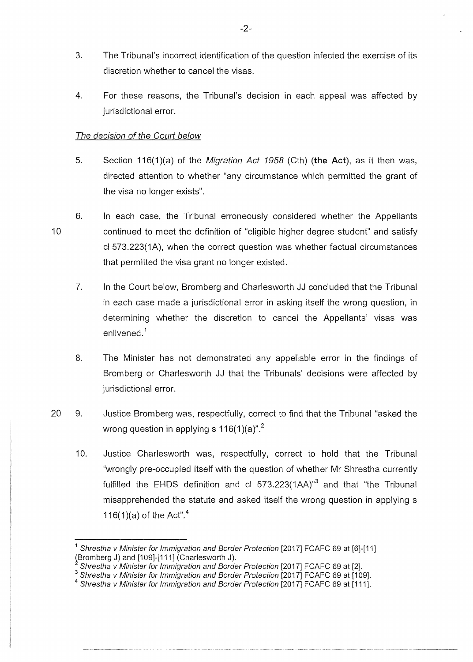- 3. The Tribunal's incorrect identification of the question infected the exercise of its discretion whether to cancel the visas.
- 4. For these reasons, the Tribunal's decision in each appeal was affected by jurisdictional error.

### The decision of the Court below

- 5. Section 116(1)(a) of the Migration Act 1958 (Cth) **(the Act),** as it then was, directed attention to whether "any circumstance which permitted the grant of the visa no longer exists".
- 10 6. In each case, the Tribunal erroneously considered whether the Appellants continued to meet the definition of "eligible higher degree student" and satisfy cl 573.223(1A), when the correct question was whether factual circumstances that permitted the visa grant no longer existed.
	- 7. In the Court below, Bromberg and Charlesworth JJ concluded that the Tribunal in each case made a jurisdictional error in asking itself the wrong question, in determining whether the discretion to cancel the Appellants' visas was enlivened. $^{\rm 1}$
	- 8. The Minister has not demonstrated any appellable error in the findings of Bromberg or Charlesworth JJ that the Tribunals' decisions were affected by jurisdictional error.
- 20 9. Justice Bromberg was, respectfully, correct to find that the Tribunal "asked the wrong question in applying s  $116(1)(a)^{n^2}$ .
	- 10. Justice Charlesworth was, respectfully, correct to hold that the Tribunal "wrongly pre-occupied itself with the question of whether Mr Shrestha currently fulfilled the EHDS definition and cl  $573.223(1AA)^{3}$  and that "the Tribunal misapprehended the statute and asked itself the wrong question in applying s 116(1)(a) of the Act".<sup>4</sup>

<sup>&</sup>lt;sup>1</sup> Shrestha v Minister for Immigration and Border Protection [2017] FCAFC 69 at [6]-[11] (Bromberg J) and [109]-[111] (Charlesworth J).

Shrestha v Minister for Immigration and Border Protection [2017] FCAFC 69 at [2].

 $^3$  Shrestha v Minister for Immigration and Border Protection [2017] FCAFC 69 at [109].<br><sup>4</sup> Shrestha v Minister for Immigration and Border Protection [2017] FCAFC 69 at [111].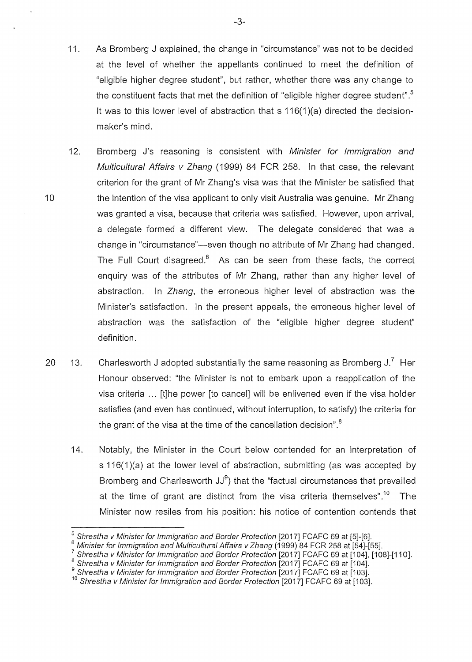- 11. As Bromberg J explained, the change in "circumstance" was not to be decided at the level of whether the appellants continued to meet the definition of "eligible higher degree student", but rather, whether there was any change to the constituent facts that met the definition of "eligible higher degree student". $^5$ lt was to this lower level of abstraction that s 116(1 )(a) directed the decisionmaker's mind.
- 12. Bromberg J's reasoning is consistent with Minister for Immigration and Multicultural Affairs v Zhang (1999) 84 FCR 258. In that case, the relevant criterion for the grant of Mr Zhang's visa was that the Minister be satisfied that the intention of the visa applicant to only visit Australia was genuine. Mr Zhang was granted a visa, because that criteria was satisfied. However, upon arrival, a delegate formed a different view. The delegate considered that was a change in "circumstance"—even though no attribute of Mr Zhang had changed. The Full Court disagreed. $6$  As can be seen from these facts, the correct enquiry was of the attributes of Mr Zhang, rather than any higher level of abstraction. In Zhang, the erroneous higher level of abstraction was the Minister's satisfaction. In the present appeals, the erroneous higher level of abstraction was the satisfaction of the "eligible higher degree student" definition.

- 20 13. Charlesworth J adopted substantially the same reasoning as Bromberg J.<sup>7</sup> Her Honour observed: "the Minister is not to embark upon a reapplication of the visa criteria ... [t]he power [to cancel) will be enlivened even if the visa holder satisfies (and even has continued, without interruption, to satisfy) the criteria for the grant of the visa at the time of the cancellation decision".<sup>8</sup>
	- 14. Notably, the Minister in the Court below contended for an interpretation of s 116(1)(a) at the lower level of abstraction, submitting (as was accepted by Bromberg and Charlesworth JJ $^9$ ) that the "factual circumstances that prevailed at the time of grant are distinct from the visa criteria themselves".<sup>10</sup> The Minister now resiles from his position: his notice of contention contends that

<sup>5</sup>Shrestha v Minister for Immigration and Border Protection [2017] FCAFC 69 at [5]-[6].

<sup>&</sup>lt;sup>6</sup> Minister for Immigration and Multicultural Affairs v Zhang (1999) 84 FCR 258 at [54]-[55].

<sup>7</sup> Shrestha v Minister for Immigration and Border Protection [2017] FCAFC 69 at [104], [108]-[110].

 $^8$  Shrestha v Minister for Immigration and Border Protection [2017] FCAFC 69 at [104].<br><sup>9</sup> Shrestha v Minister for Immigration and Border Protection [2017] FCAFC 69 at [103].

<sup>&</sup>lt;sup>10</sup> Shrestha v Minister for Immigration and Border Protection [2017] FCAFC 69 at [103].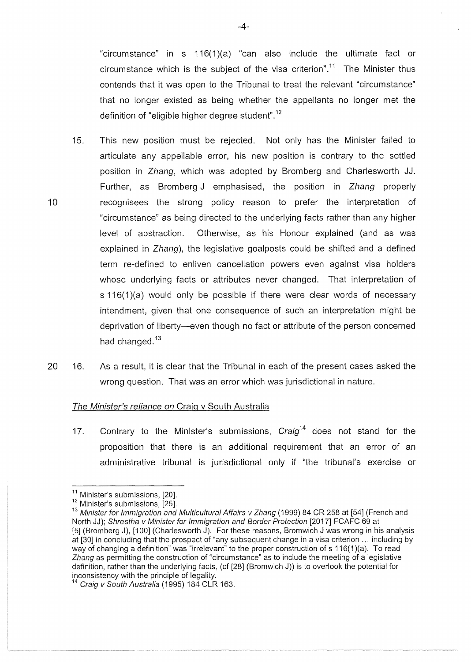"circumstance" in s  $116(1)(a)$  "can also include the ultimate fact or circumstance which is the subject of the visa criterion".<sup>11</sup> The Minister thus contends that it was open to the Tribunal to treat the relevant "circumstance" that no longer existed as being whether the appellants no longer met the definition of "eligible higher degree student".<sup>12</sup>

- 15. This new position must be rejected. Not only has the Minister failed to articulate any appellable error, his new position is contrary to the settled position in Zhang, which was adopted by Bromberg and Charlesworth JJ. Further, as Bromberg J emphasised, the position in Zhang properly recognisees the strong policy reason to prefer the interpretation of "circumstance" as being directed to the underlying facts rather than any higher level of abstraction. Otherwise, as his Honour explained (and as was explained in Zhang), the legislative goalposts could be shifted and a defined term re-defined to enliven cancellation powers even against visa holders whose underlying facts or attributes never changed. That interpretation of s 116(1)(a) would only be possible if there were clear words of necessary intendment, given that one consequence of such an interpretation might be deprivation of liberty-even though no fact or attribute of the person concerned had changed.<sup>13</sup>
- 20 16. As a result, it is clear that the Tribunal in each of the present cases asked the wrong question. That was an error which was jurisdictional in nature.

### The Minister's reliance on Craig v South Australia

17. Contrary to the Minister's submissions,  $Craiq<sup>14</sup>$  does not stand for the proposition that there is an additional requirement that an error of an administrative tribunal is jurisdictional only if "the tribunal's exercise or

10

-4-

<sup>&</sup>lt;sup>11</sup> Minister's submissions, [20].<br><sup>12</sup> Minister's submissions, [25].

<sup>&</sup>lt;sup>13</sup> Minister for Immigration and Multicultural Affairs v Zhang (1999) 84 CR 258 at [54] (French and North JJ); Shrestha v Minister for Immigration and Border Protection [2017] FCAFC 69 at [5] (Bromberg J), [100] (Charlesworth J). For these reasons, Bromwich J was wrong in his analysis at [30] in concluding that the prospect of "any subsequent change in a visa criterion ... including by way of changing a definition" was "irrelevant" to the proper construction of s 116(1)(a). To read Zhang as permitting the construction of "circumstance" as to include the meeting of a legislative definition, rather than the underlying facts, (cf [28] (Bromwich J)) is to overlook the potential for inconsistency with the principle of legality.<br><sup>14</sup> Craig v South Australia (1995) 184 CLR 163.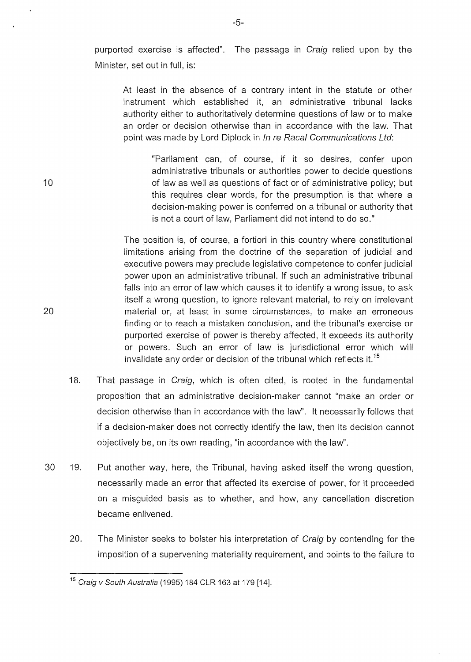purported exercise is affected". The passage in Craig relied upon by the Minister, set out in full, is:

At least in the absence of a contrary intent in the statute or other instrument which established it, an administrative tribunal lacks authority either to authoritatively determine questions of law or to make an order or decision otherwise than in accordance with the law. That point was made by Lord Diplock in In re Racal Communications Ltd:

"Parliament can, of course, if it so desires, confer upon administrative tribunals or authorities power to decide questions of law as well as questions of fact or of administrative policy; but this requires clear words, for the presumption is that where a decision-making power is conferred on a tribunal or authority that is not a court of law, Parliament did not intend to do so."

The position is, of course, a fortiori in this country where constitutional limitations arising from the doctrine of the separation of judicial and executive powers may preclude legislative competence to confer judicial power upon an administrative tribunal. If such an administrative tribunal falls into an error of law which causes it to identify a wrong issue, to ask itself a wrong question, to ignore relevant material, to rely on irrelevant material or, at least in some circumstances, to make an erroneous finding or to reach a mistaken conclusion, and the tribunal's exercise or purported exercise of power is thereby affected, it exceeds its authority or powers. Such an error of law is jurisdictional error which will invalidate any order or decision of the tribunal which reflects it.<sup>15</sup>

- 18. That passage in Craig, which is often cited, is rooted in the fundamental proposition that an administrative decision-maker cannot "make an order or decision otherwise than in accordance with the law". lt necessarily follows that if a decision-maker does not correctly identify the law, then its decision cannot objectively be, on its own reading, "in accordance with the law''.
- 30 19. Put another way, here, the Tribunal, having asked itself the wrong question, necessarily made an error that affected its exercise of power, for it proceeded on a misguided basis as to whether, and how, any cancellation discretion became enlivened.
	- 20. The Minister seeks to bolster his interpretation of Craig by contending for the imposition of a supervening materiality requirement, and points to the failure to

20

<sup>&</sup>lt;sup>15</sup> Craig v South Australia (1995) 184 CLR 163 at 179 [14].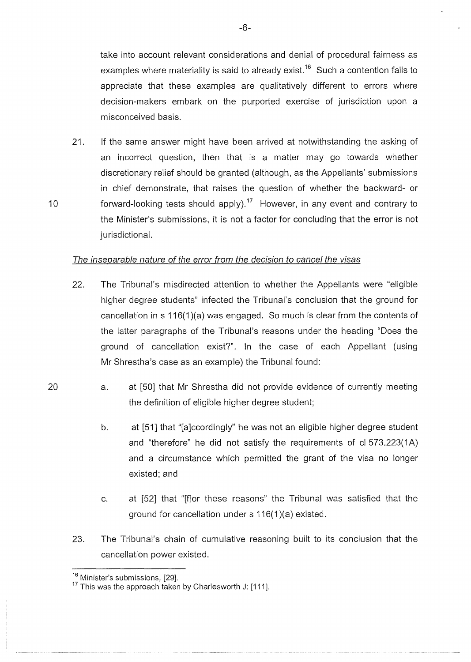take into account relevant considerations and denial of procedural fairness as examples where materiality is said to already exist.<sup>16</sup> Such a contention fails to appreciate that these examples are qualitatively different to errors where decision-makers embark on the purported exercise of jurisdiction upon a misconceived basis.

21. If the same answer might have been arrived at notwithstanding the asking of an incorrect question, then that is a matter may go towards whether discretionary relief should be granted (although, as the Appellants' submissions in chief demonstrate, that raises the question of whether the backward- or forward-looking tests should apply).<sup>17</sup> However, in any event and contrary to the Minister's submissions, it is not a factor for concluding that the error is not jurisdictional.

### The inseparable nature of the error from the decision to cancel the visas

- 22. The Tribunal's misdirected attention to whether the Appellants were "eligible higher degree students" infected the Tribunal's conclusion that the ground for cancellation in  $s$  116(1)(a) was engaged. So much is clear from the contents of the latter paragraphs of the Tribunal's reasons under the heading "Does the ground of cancellation exist?". In the case of each Appellant (using Mr Shrestha's case as an example) the Tribunal found:
- 20 a. at [50] that Mr Shrestha did not provide evidence of currently meeting the definition of eligible higher degree student;
	- b. at [51] that "[a]ccordingly" he was not an eligible higher degree student and "therefore" he did not satisfy the requirements of cl 573.223(1A) and a circumstance which permitted the grant of the visa no longer existed; and
	- c. at [52] that "[f]or these reasons" the Tribunal was satisfied that the ground for cancellation under s 116(1)(a) existed.
	- 23. The Tribunal's chain of cumulative reasoning built to its conclusion that the cancellation power existed.

10

-6-

 $^{16}$  Minister's submissions, [29].

 $17$  This was the approach taken by Charlesworth J: [111].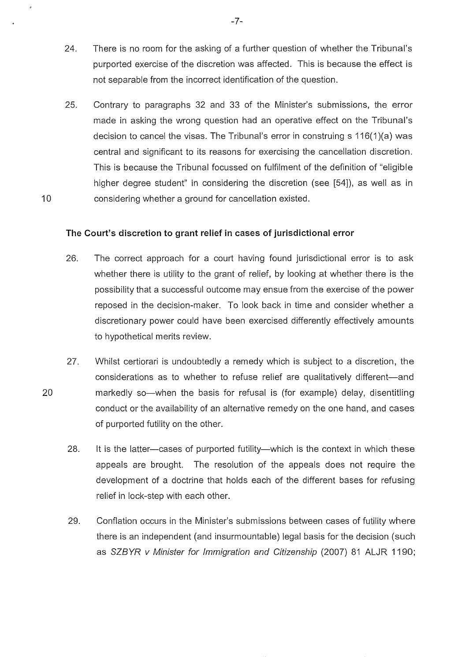- 24. There is no room for the asking of a further question of whether the Tribunal's purported exercise of the discretion was affected. This is because the effect is not separable from the incorrect identification of the question.
- 25. Contrary to paragraphs 32 and 33 of the Minister's submissions, the error made in asking the wrong question had an operative effect on the Tribunal's decision to cancel the visas. The Tribunal's error in construing s 116(1 )(a) was central and significant to its reasons for exercising the cancellation discretion. This is because the Tribunal focussed on fulfilment of the definition of "eligible higher degree student" in considering the discretion (see [54]), as well as in considering whether a ground for cancellation existed.

### **The Court's discretion to grant relief in cases of jurisdictional error**

- 26. The correct approach for a court having found jurisdictional error is to ask whether there is utility to the grant of relief, by looking at whether there is the possibility that a successful outcome may ensue from the exercise of the power reposed in the decision-maker. To look back in time and consider whether a discretionary power could have been exercised differently effectively amounts to hypothetical merits review.
- 27. Whilst certiorari is undoubtedly a remedy which is subject to a discretion, the considerations as to whether to refuse relief are qualitatively different-and markedly so—when the basis for refusal is (for example) delay, disentitling conduct or the availability of an alternative remedy on the one hand, and cases of purported futility on the other.
	- 28. It is the latter-cases of purported futility-which is the context in which these appeals are brought. The resolution of the appeals does not require the development of a doctrine that holds each of the different bases for refusing relief in lock-step with each other.
	- 29. Conflation occurs in the Minister's submissions between cases of futility where there is an independent (and insurmountable) legal basis for the decision (such as SZBYR *v Minister for Immigration and Citizenship* (2007) 81 ALJR 1190;

20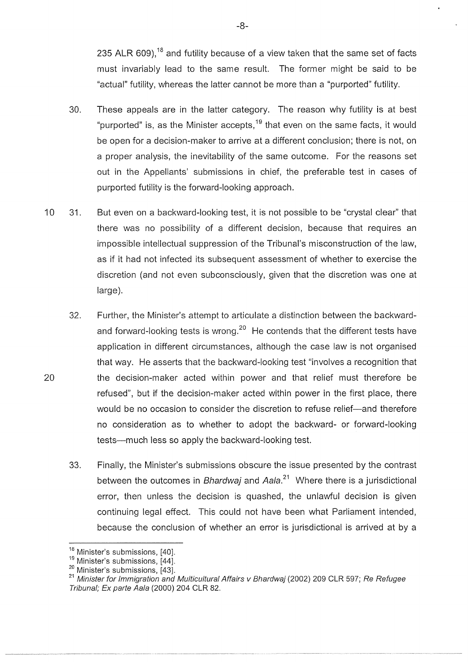235 ALR 609),<sup>18</sup> and futility because of a view taken that the same set of facts must invariably lead to the same result. The former might be said to be "actual" futility, whereas the latter cannot be more than a "purported" futility.

- 30. These appeals are in the latter category. The reason why futility is at best "purported" is, as the Minister accepts,  $19$  that even on the same facts, it would be open for a decision-maker to arrive at a different conclusion; there is not, on a proper analysis, the inevitability of the same outcome. For the reasons set out in the Appellants' submissions in chief, the preferable test in cases of purported futility is the forward-looking approach.
- 10 31. But even on a backward-looking test, it is not possible to be "crystal clear" that there was no possibility of a different decision, because that requires an impossible intellectual suppression of the Tribunal's misconstruction of the law, as if it had not infected its subsequent assessment of whether to exercise the discretion (and not even subconsciously, given that the discretion was one at large).
	- 32. Further, the Minister's attempt to articulate a distinction between the backwardand forward-looking tests is wrong.<sup>20</sup> He contends that the different tests have application in different circumstances, although the case law is not organised that way. He asserts that the backward-looking test "involves a recognition that the decision-maker acted within power and that relief must therefore be refused", but if the decision-maker acted within power in the first place, there would be no occasion to consider the discretion to refuse relief—and therefore no consideration as to whether to adopt the backward- or forward-looking tests-much less so apply the backward-looking test.
	- 33. Finally, the Minister's submissions obscure the issue presented by the contrast between the outcomes in Bhardwaj and Aala. $21$  Where there is a jurisdictional error, then unless the decision is quashed, the unlawful decision is given continuing legal effect. This could not have been what Parliament intended, because the conclusion of whether an error is jurisdictional is arrived at by a

20

-8-

 $^{18}$  Minister's submissions, [40].<br> $^{19}$  Minister's submissions, [44].

<sup>&</sup>lt;sup>20</sup> Minister's submissions, [43].<br><sup>21</sup> Minister for Immigration and Multicultural Affairs v Bhardwaj (2002) 209 CLR 597; Re Refugee Tribunal; Ex parte Aala (2000) 204 CLR 82.